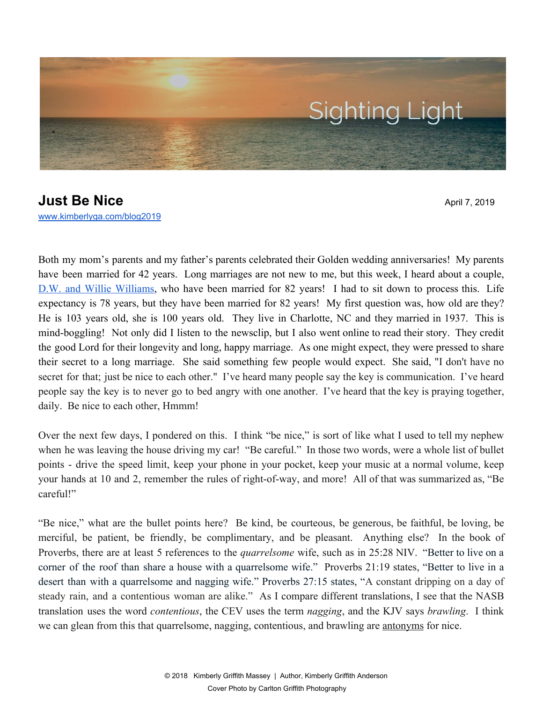

# **Just Be Nice** April 7, 2019 [www.kimberlyga.com/blog2019](http://www.kimberlyga.com/blog)

Both my mom's parents and my father's parents celebrated their Golden wedding anniversaries! My parents have been married for 42 years. Long marriages are not new to me, but this week, I heard about a couple, D.W. and Willie [Williams,](https://wsbt.com/news/offbeat/couple-married-82-years-says-no-secret-to-long-life-together-just-be-nice-to-each-other?fbclid=IwAR0O287dKC8YXW9fzFE_wOKNkYgjPDUk4dfEYq6pFVM9NIt-JT_SLYcLKvA) who have been married for 82 years! I had to sit down to process this. Life expectancy is 78 years, but they have been married for 82 years! My first question was, how old are they? He is 103 years old, she is 100 years old. They live in Charlotte, NC and they married in 1937. This is mind-boggling! Not only did I listen to the newsclip, but I also went online to read their story. They credit the good Lord for their longevity and long, happy marriage. As one might expect, they were pressed to share their secret to a long marriage. She said something few people would expect. She said, "I don't have no secret for that; just be nice to each other." I've heard many people say the key is communication. I've heard people say the key is to never go to bed angry with one another. I've heard that the key is praying together, daily. Be nice to each other, Hmmm!

Over the next few days, I pondered on this. I think "be nice," is sort of like what I used to tell my nephew when he was leaving the house driving my car! "Be careful." In those two words, were a whole list of bullet points - drive the speed limit, keep your phone in your pocket, keep your music at a normal volume, keep your hands at 10 and 2, remember the rules of right-of-way, and more! All of that was summarized as, "Be careful!"

"Be nice," what are the bullet points here? Be kind, be courteous, be generous, be faithful, be loving, be merciful, be patient, be friendly, be complimentary, and be pleasant. Anything else? In the book of Proverbs, there are at least 5 references to the *quarrelsome* wife, such as in 25:28 NIV. "Better to live on a corner of the roof than share a house with a quarrelsome wife." Proverbs 21:19 states, "Better to live in a desert than with a quarrelsome and nagging wife." Proverbs 27:15 states, "A constant dripping on a day of steady rain, and a contentious woman are alike." As I compare different translations, I see that the NASB translation uses the word *contentious*, the CEV uses the term *nagging*, and the KJV says *brawling*. I think we can glean from this that quarrelsome, nagging, contentious, and brawling are antonyms for nice.